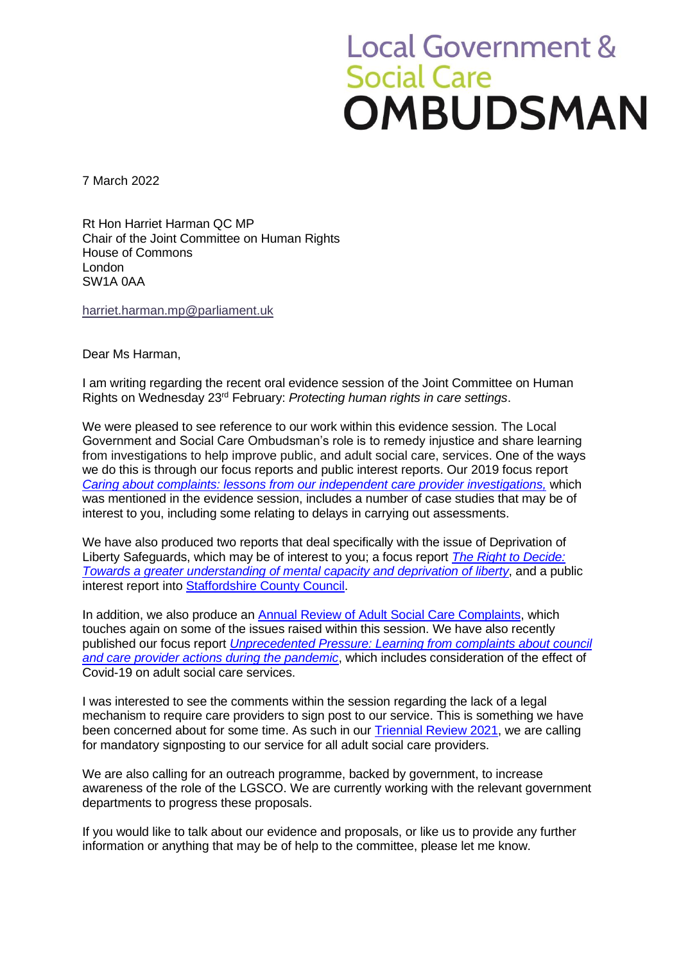## **Local Government &** Social Care<br>OMBUDSMAN

7 March 2022

Rt Hon Harriet Harman QC MP Chair of the Joint Committee on Human Rights House of Commons London SW1A 0AA

[harriet.harman.mp@parliament.uk](mailto:harriet.harman.mp@parliament.uk)

Dear Ms Harman,

I am writing regarding the recent oral evidence session of the Joint Committee on Human Rights on Wednesday 23rd February: *Protecting human rights in care settings*.

We were pleased to see reference to our work within this evidence session. The Local Government and Social Care Ombudsman's role is to remedy injustice and share learning from investigations to help improve public, and adult social care, services. One of the ways we do this is through our focus reports and public interest reports. Our 2019 focus report *[Caring about complaints: lessons from our independent care provider investigations,](https://www.lgo.org.uk/information-centre/news/2019/mar/ombudsman-issues-good-practice-guide-for-care-providers)* which was mentioned in the evidence session, includes a number of case studies that may be of interest to you, including some relating to delays in carrying out assessments.

We have also produced two reports that deal specifically with the issue of Deprivation of Liberty Safeguards, which may be of interest to you; a focus report *[The Right to Decide:](https://www.lgo.org.uk/information-centre/news/2017/jul/vulnerable-adults-being-let-down-by-poor-social-work-practice)  [Towards a greater understanding](https://www.lgo.org.uk/information-centre/news/2017/jul/vulnerable-adults-being-let-down-by-poor-social-work-practice) of mental capacity and deprivation of liberty*, and a public interest report into [Staffordshire County Council.](https://www.lgo.org.uk/information-centre/news/2019/apr/thousands-of-vulnerable-staffordshire-people-deprived-of-their-liberty-without-proper-assessment)

In addition, we also produce an [Annual Review of Adult Social Care Complaints,](https://www.lgo.org.uk/information-centre/news/2021/sep/failing-social-care-system-reflected-in-relentless-rise-in-ombudsman-s-upheld-complaints) which touches again on some of the issues raised within this session. We have also recently published our focus report *[Unprecedented Pressure: Learning from complaints about council](https://www.lgo.org.uk/information-centre/news/2022/feb/ombudsman-s-covid-report-highlights-how-councils-and-care-providers-coped)  [and care provider actions during the pandemic](https://www.lgo.org.uk/information-centre/news/2022/feb/ombudsman-s-covid-report-highlights-how-councils-and-care-providers-coped)*, which includes consideration of the effect of Covid-19 on adult social care services.

I was interested to see the comments within the session regarding the lack of a legal mechanism to require care providers to sign post to our service. This is something we have been concerned about for some time. As such in our **Triennial Review 2021**, we are calling for mandatory signposting to our service for all adult social care providers.

We are also calling for an outreach programme, backed by government, to increase awareness of the role of the LGSCO. We are currently working with the relevant government departments to progress these proposals.

If you would like to talk about our evidence and proposals, or like us to provide any further information or anything that may be of help to the committee, please let me know.